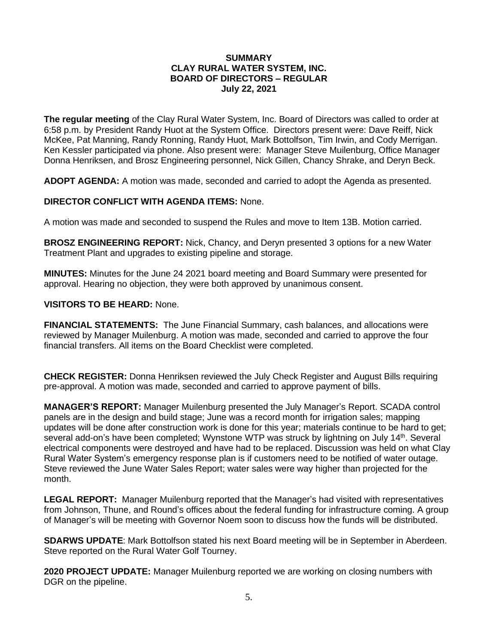## **SUMMARY CLAY RURAL WATER SYSTEM, INC. BOARD OF DIRECTORS – REGULAR July 22, 2021**

**The regular meeting** of the Clay Rural Water System, Inc. Board of Directors was called to order at 6:58 p.m. by President Randy Huot at the System Office. Directors present were: Dave Reiff, Nick McKee, Pat Manning, Randy Ronning, Randy Huot, Mark Bottolfson, Tim Irwin, and Cody Merrigan. Ken Kessler participated via phone. Also present were: Manager Steve Muilenburg, Office Manager Donna Henriksen, and Brosz Engineering personnel, Nick Gillen, Chancy Shrake, and Deryn Beck.

**ADOPT AGENDA:** A motion was made, seconded and carried to adopt the Agenda as presented.

# **DIRECTOR CONFLICT WITH AGENDA ITEMS:** None.

A motion was made and seconded to suspend the Rules and move to Item 13B. Motion carried.

**BROSZ ENGINEERING REPORT:** Nick, Chancy, and Deryn presented 3 options for a new Water Treatment Plant and upgrades to existing pipeline and storage.

**MINUTES:** Minutes for the June 24 2021 board meeting and Board Summary were presented for approval. Hearing no objection, they were both approved by unanimous consent.

## **VISITORS TO BE HEARD:** None.

**FINANCIAL STATEMENTS:** The June Financial Summary, cash balances, and allocations were reviewed by Manager Muilenburg. A motion was made, seconded and carried to approve the four financial transfers. All items on the Board Checklist were completed.

**CHECK REGISTER:** Donna Henriksen reviewed the July Check Register and August Bills requiring pre-approval. A motion was made, seconded and carried to approve payment of bills.

**MANAGER'S REPORT:** Manager Muilenburg presented the July Manager's Report. SCADA control panels are in the design and build stage; June was a record month for irrigation sales; mapping updates will be done after construction work is done for this year; materials continue to be hard to get; several add-on's have been completed; Wynstone WTP was struck by lightning on July 14<sup>th</sup>. Several electrical components were destroyed and have had to be replaced. Discussion was held on what Clay Rural Water System's emergency response plan is if customers need to be notified of water outage. Steve reviewed the June Water Sales Report; water sales were way higher than projected for the month.

**LEGAL REPORT:** Manager Muilenburg reported that the Manager's had visited with representatives from Johnson, Thune, and Round's offices about the federal funding for infrastructure coming. A group of Manager's will be meeting with Governor Noem soon to discuss how the funds will be distributed.

**SDARWS UPDATE**: Mark Bottolfson stated his next Board meeting will be in September in Aberdeen. Steve reported on the Rural Water Golf Tourney.

**2020 PROJECT UPDATE:** Manager Muilenburg reported we are working on closing numbers with DGR on the pipeline.